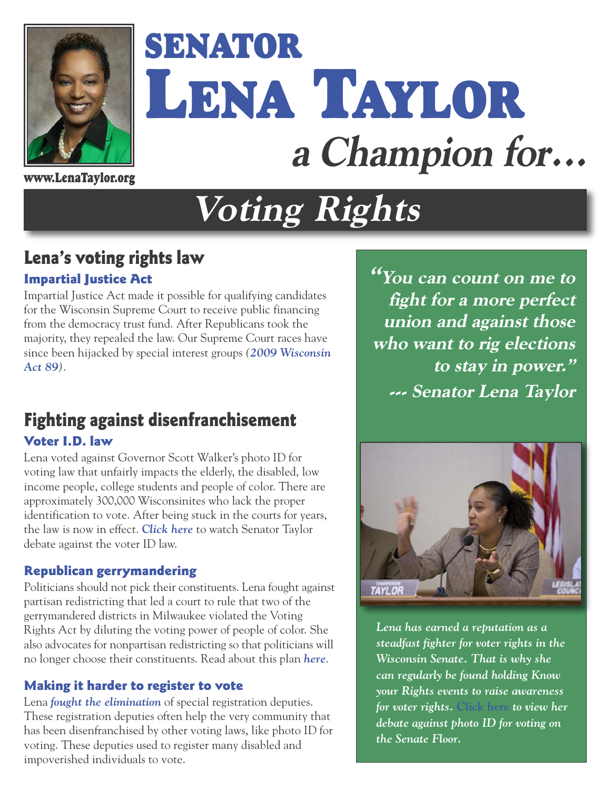

# **SENATOR LENA TAYLOR a Champion for...**

**[www.LenaTaylor.org](http://www.LenaTaylor.org)**

## **Voting Rights**

## **Lena's voting rights law**

#### **Impartial Justice Act**

Impartial Justice Act made it possible for qualifying candidates for the Wisconsin Supreme Court to receive public financing from the democracy trust fund. After Republicans took the majority, they repealed the law. Our Supreme Court races have since been hijacked by special interest groups *([2009 Wisconsin](http://docs.legis.wisconsin.gov/2009/proposals/sb40) [Act 89](http://docs.legis.wisconsin.gov/2009/proposals/sb40))*.

## **Fighting against disenfranchisement Voter I.D. law**

Lena voted against Governor Scott Walker's photo ID for voting law that unfairly impacts the elderly, the disabled, low income people, college students and people of color. There are approximately 300,000 Wisconsinites who lack the proper identification to vote. After being stuck in the courts for years, the law is now in effect. *[Click here](https://www.youtube.com/watch?v=DJb-dvfLQ3k)* to watch Senator Taylor debate against the voter ID law.

#### **Republican gerrymandering**

Politicians should not pick their constituents. Lena fought against partisan redistricting that led a court to rule that two of the gerrymandered districts in Milwaukee violated the Voting Rights Act by diluting the voting power of people of color. She also advocates for nonpartisan redistricting so that politicians will no longer choose their constituents. Read about this plan *[here](http://milwaukeecourieronline.com/index.php/2013/09/14/legislatively-soeaking-the-need-for-impartial-redistricting/)*.

### **Making it harder to register to vote**

Lena *[fought the elimination](http://www.startribune.com/senate-set-to-vote-on-allowing-online-voter-registration/368138441/)* of special registration deputies. These registration deputies often help the very community that has been disenfranchised by other voting laws, like photo ID for voting. These deputies used to register many disabled and impoverished individuals to vote.

**"You can count on me to fight for a more perfect union and against those who want to rig elections to stay in power." --- Senator Lena Taylor** 



*Lena has earned a reputation as a steadfast fighter for voter rights in the Wisconsin Senate. That is why she can regularly be found holding Know your Rights events to raise awareness for voter rights.* **[Click here](https://www.youtube.com/watch?v=DJb-dvfLQ3k)** *to view her debate against photo ID for voting on the Senate Floor.*